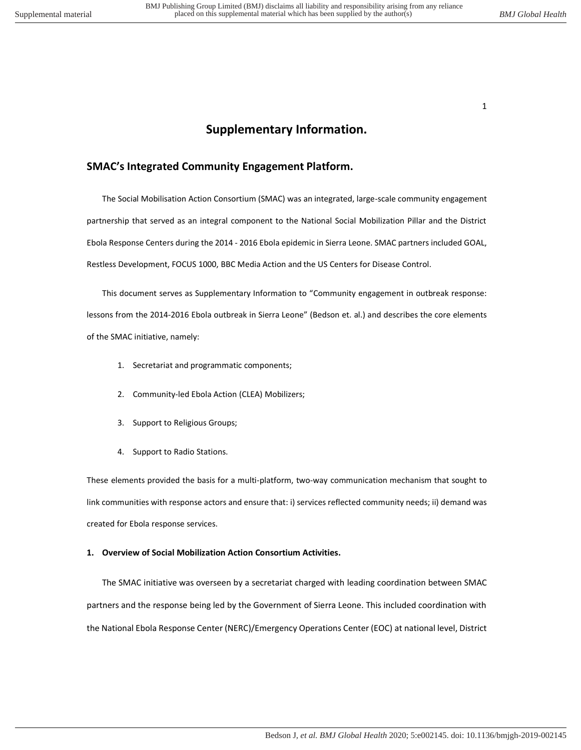# **Supplementary Information.**

## **SMAC's Integrated Community Engagement Platform.**

The Social Mobilisation Action Consortium (SMAC) was an integrated, large-scale community engagement partnership that served as an integral component to the National Social Mobilization Pillar and the District Ebola Response Centers during the 2014 - 2016 Ebola epidemic in Sierra Leone. SMAC partners included GOAL, Restless Development, FOCUS 1000, BBC Media Action and the US Centers for Disease Control.

This document serves as Supplementary Information to "Community engagement in outbreak response: lessons from the 2014-2016 Ebola outbreak in Sierra Leone" (Bedson et. al.) and describes the core elements of the SMAC initiative, namely:

- 1. Secretariat and programmatic components;
- 2. Community-led Ebola Action (CLEA) Mobilizers;
- 3. Support to Religious Groups;
- 4. Support to Radio Stations.

These elements provided the basis for a multi-platform, two-way communication mechanism that sought to link communities with response actors and ensure that: i) services reflected community needs; ii) demand was created for Ebola response services.

### **1. Overview of Social Mobilization Action Consortium Activities.**

The SMAC initiative was overseen by a secretariat charged with leading coordination between SMAC partners and the response being led by the Government of Sierra Leone. This included coordination with the National Ebola Response Center (NERC)/Emergency Operations Center (EOC) at national level, District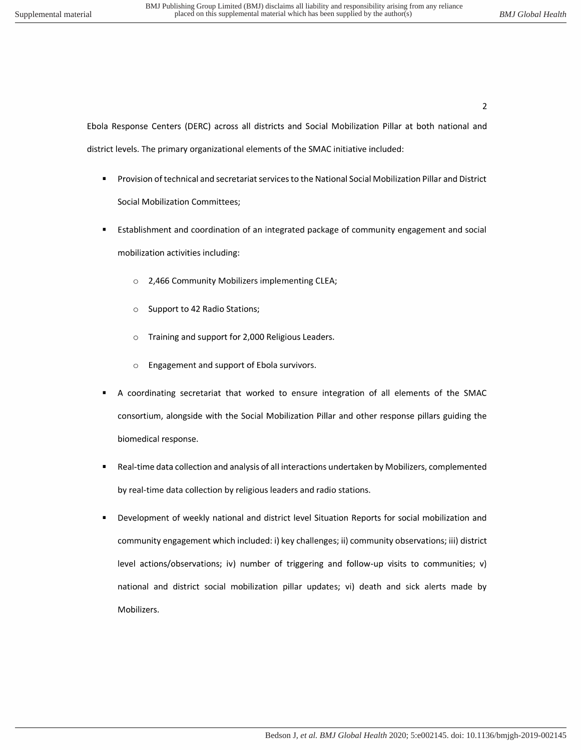$\overline{2}$ 

Ebola Response Centers (DERC) across all districts and Social Mobilization Pillar at both national and district levels. The primary organizational elements of the SMAC initiative included:

- Provision of technical and secretariat services to the National Social Mobilization Pillar and District **Social Mobilization Committees;**
- Establishment and coordination of an integrated package of community engagement and social mobilization activities including:
	- 2,466 Community Mobilizers implementing CLEA;  $\circ$
	- Support to 42 Radio Stations;  $\circ$
	- Training and support for 2,000 Religious Leaders.  $\circ$
	- Engagement and support of Ebola survivors.  $\circ$
- A coordinating secretariat that worked to ensure integration of all elements of the SMAC consortium, alongside with the Social Mobilization Pillar and other response pillars guiding the biomedical response.
- Real-time data collection and analysis of all interactions undertaken by Mobilizers, complemented by real-time data collection by religious leaders and radio stations.
- Development of weekly national and district level Situation Reports for social mobilization and community engagement which included: i) key challenges; ii) community observations; iii) district level actions/observations; iv) number of triggering and follow-up visits to communities; v) national and district social mobilization pillar updates; vi) death and sick alerts made by Mobilizers.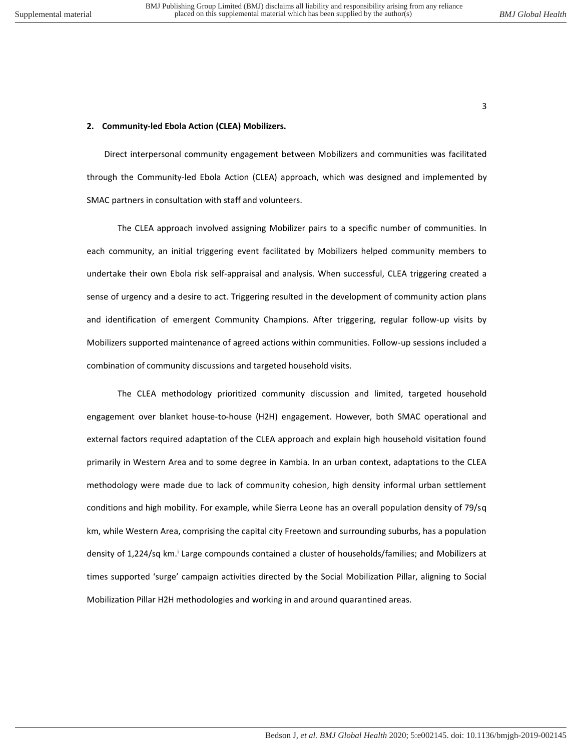#### **2. Community-led Ebola Action (CLEA) Mobilizers.**

Direct interpersonal community engagement between Mobilizers and communities was facilitated through the Community-led Ebola Action (CLEA) approach, which was designed and implemented by SMAC partners in consultation with staff and volunteers.

The CLEA approach involved assigning Mobilizer pairs to a specific number of communities. In each community, an initial triggering event facilitated by Mobilizers helped community members to undertake their own Ebola risk self-appraisal and analysis. When successful, CLEA triggering created a sense of urgency and a desire to act. Triggering resulted in the development of community action plans and identification of emergent Community Champions. After triggering, regular follow-up visits by Mobilizers supported maintenance of agreed actions within communities. Follow-up sessions included a combination of community discussions and targeted household visits.

The CLEA methodology prioritized community discussion and limited, targeted household engagement over blanket house-to-house (H2H) engagement. However, both SMAC operational and external factors required adaptation of the CLEA approach and explain high household visitation found primarily in Western Area and to some degree in Kambia. In an urban context, adaptations to the CLEA methodology were made due to lack of community cohesion, high density informal urban settlement conditions and high mobility. For example, while Sierra Leone has an overall population density of 79/sq km, while Western Area, comprising the capital city Freetown and surrounding suburbs, has a population density of 1,224/sq km.<sup>i</sup> Large compounds contained a cluster of households/families; and Mobilizers at times supported 'surge' campaign activities directed by the Social Mobilization Pillar, aligning to Social Mobilization Pillar H2H methodologies and working in and around quarantined areas.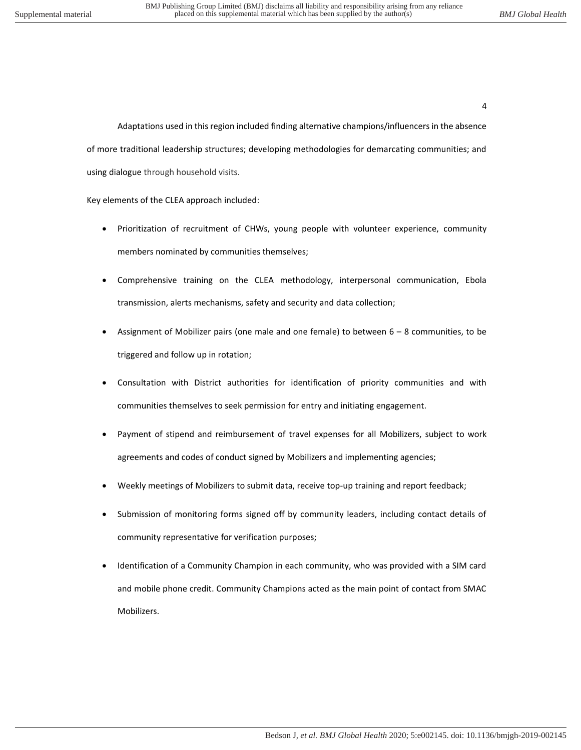Adaptations used in this region included finding alternative champions/influencers in the absence of more traditional leadership structures; developing methodologies for demarcating communities; and using dialogue through household visits.

Key elements of the CLEA approach included:

- Prioritization of recruitment of CHWs, young people with volunteer experience, community members nominated by communities themselves;
- Comprehensive training on the CLEA methodology, interpersonal communication, Ebola transmission, alerts mechanisms, safety and security and data collection;
- Assignment of Mobilizer pairs (one male and one female) to between  $6 8$  communities, to be triggered and follow up in rotation;
- Consultation with District authorities for identification of priority communities and with communities themselves to seek permission for entry and initiating engagement.
- Payment of stipend and reimbursement of travel expenses for all Mobilizers, subject to work agreements and codes of conduct signed by Mobilizers and implementing agencies;
- Weekly meetings of Mobilizers to submit data, receive top-up training and report feedback;
- Submission of monitoring forms signed off by community leaders, including contact details of community representative for verification purposes;
- Identification of a Community Champion in each community, who was provided with a SIM card and mobile phone credit. Community Champions acted as the main point of contact from SMAC Mobilizers.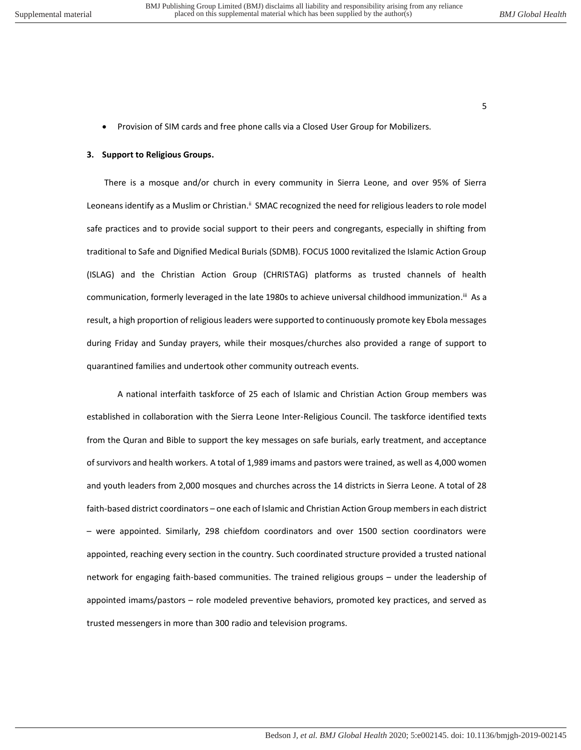• Provision of SIM cards and free phone calls via a Closed User Group for Mobilizers.

#### **3. Support to Religious Groups.**

There is a mosque and/or church in every community in Sierra Leone, and over 95% of Sierra Leoneans identify as a Muslim or Christian.<sup>ii</sup> SMAC recognized the need for religious leaders to role model safe practices and to provide social support to their peers and congregants, especially in shifting from traditional to Safe and Dignified Medical Burials (SDMB). FOCUS 1000 revitalized the Islamic Action Group (ISLAG) and the Christian Action Group (CHRISTAG) platforms as trusted channels of health communication, formerly leveraged in the late 1980s to achieve universal childhood immunization.<sup>iii</sup> As a result, a high proportion of religious leaders were supported to continuously promote key Ebola messages during Friday and Sunday prayers, while their mosques/churches also provided a range of support to quarantined families and undertook other community outreach events.

A national interfaith taskforce of 25 each of Islamic and Christian Action Group members was established in collaboration with the Sierra Leone Inter-Religious Council. The taskforce identified texts from the Quran and Bible to support the key messages on safe burials, early treatment, and acceptance of survivors and health workers. A total of 1,989 imams and pastors were trained, as well as 4,000 women and youth leaders from 2,000 mosques and churches across the 14 districts in Sierra Leone. A total of 28 faith-based district coordinators – one each of Islamic and Christian Action Group members in each district – were appointed. Similarly, 298 chiefdom coordinators and over 1500 section coordinators were appointed, reaching every section in the country. Such coordinated structure provided a trusted national network for engaging faith-based communities. The trained religious groups – under the leadership of appointed imams/pastors – role modeled preventive behaviors, promoted key practices, and served as trusted messengers in more than 300 radio and television programs.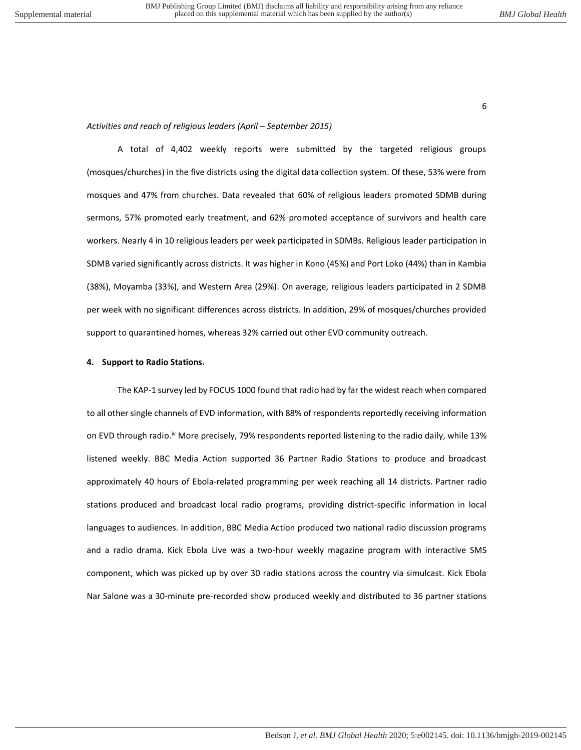#### Activities and reach of religious leaders (April – September 2015)

A total of 4,402 weekly reports were submitted by the targeted religious groups (mosques/churches) in the five districts using the digital data collection system. Of these, 53% were from mosques and 47% from churches. Data revealed that 60% of religious leaders promoted SDMB during sermons, 57% promoted early treatment, and 62% promoted acceptance of survivors and health care workers. Nearly 4 in 10 religious leaders per week participated in SDMBs. Religious leader participation in SDMB varied significantly across districts. It was higher in Kono (45%) and Port Loko (44%) than in Kambia (38%), Moyamba (33%), and Western Area (29%). On average, religious leaders participated in 2 SDMB per week with no significant differences across districts. In addition, 29% of mosques/churches provided support to quarantined homes, whereas 32% carried out other EVD community outreach.

#### **4. Support to Radio Stations.**

The KAP-1 survey led by FOCUS 1000 found that radio had by far the widest reach when compared to all other single channels of EVD information, with 88% of respondents reportedly receiving information on EVD through radio.<sup>iv</sup> More precisely, 79% respondents reported listening to the radio daily, while 13% listened weekly. BBC Media Action supported 36 Partner Radio Stations to produce and broadcast approximately 40 hours of Ebola-related programming per week reaching all 14 districts. Partner radio stations produced and broadcast local radio programs, providing district-specific information in local languages to audiences. In addition, BBC Media Action produced two national radio discussion programs and a radio drama. Kick Ebola Live was a two-hour weekly magazine program with interactive SMS component, which was picked up by over 30 radio stations across the country via simulcast. Kick Ebola Nar Salone was a 30-minute pre-recorded show produced weekly and distributed to 36 partner stations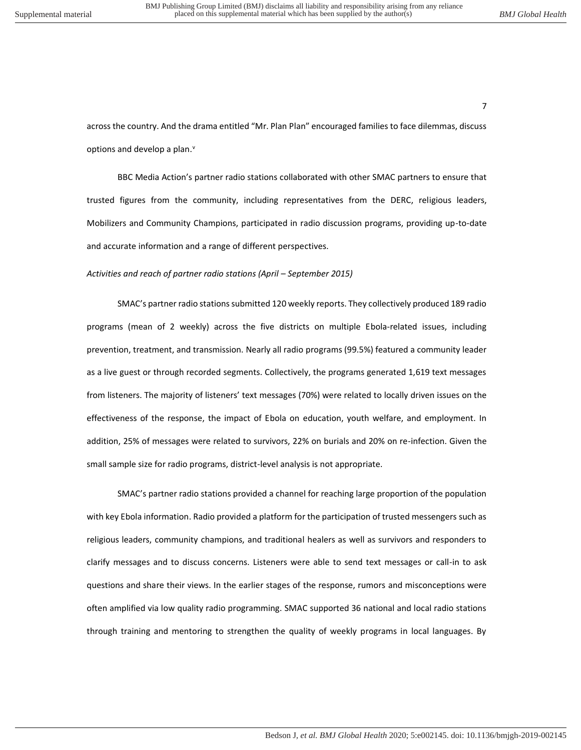across the country. And the drama entitled "Mr. Plan Plan" encouraged families to face dilemmas, discuss options and develop a plan.<sup>v</sup>

BBC Media Action's partner radio stations collaborated with other SMAC partners to ensure that trusted figures from the community, including representatives from the DERC, religious leaders, Mobilizers and Community Champions, participated in radio discussion programs, providing up-to-date and accurate information and a range of different perspectives.

#### *Activities and reach of partner radio stations (April – September 2015)*

SMAC's partner radio stations submitted 120 weekly reports. They collectively produced 189 radio programs (mean of 2 weekly) across the five districts on multiple Ebola-related issues, including prevention, treatment, and transmission. Nearly all radio programs (99.5%) featured a community leader as a live guest or through recorded segments. Collectively, the programs generated 1,619 text messages from listeners. The majority of listeners' text messages (70%) were related to locally driven issues on the effectiveness of the response, the impact of Ebola on education, youth welfare, and employment. In addition, 25% of messages were related to survivors, 22% on burials and 20% on re-infection. Given the small sample size for radio programs, district-level analysis is not appropriate.

SMAC's partner radio stations provided a channel for reaching large proportion of the population with key Ebola information. Radio provided a platform for the participation of trusted messengers such as religious leaders, community champions, and traditional healers as well as survivors and responders to clarify messages and to discuss concerns. Listeners were able to send text messages or call-in to ask questions and share their views. In the earlier stages of the response, rumors and misconceptions were often amplified via low quality radio programming. SMAC supported 36 national and local radio stations through training and mentoring to strengthen the quality of weekly programs in local languages. By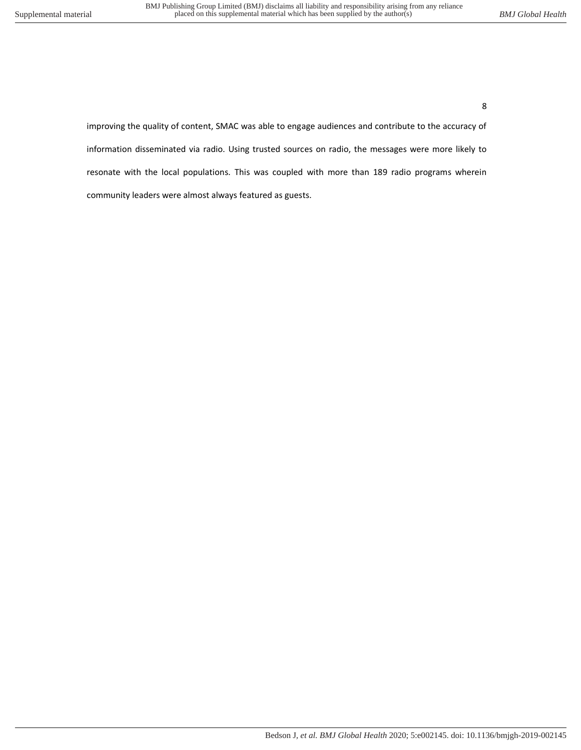improving the quality of content, SMAC was able to engage audiences and contribute to the accuracy of information disseminated via radio. Using trusted sources on radio, the messages were more likely to resonate with the local populations. This was coupled with more than 189 radio programs wherein community leaders were almost always featured as guests.